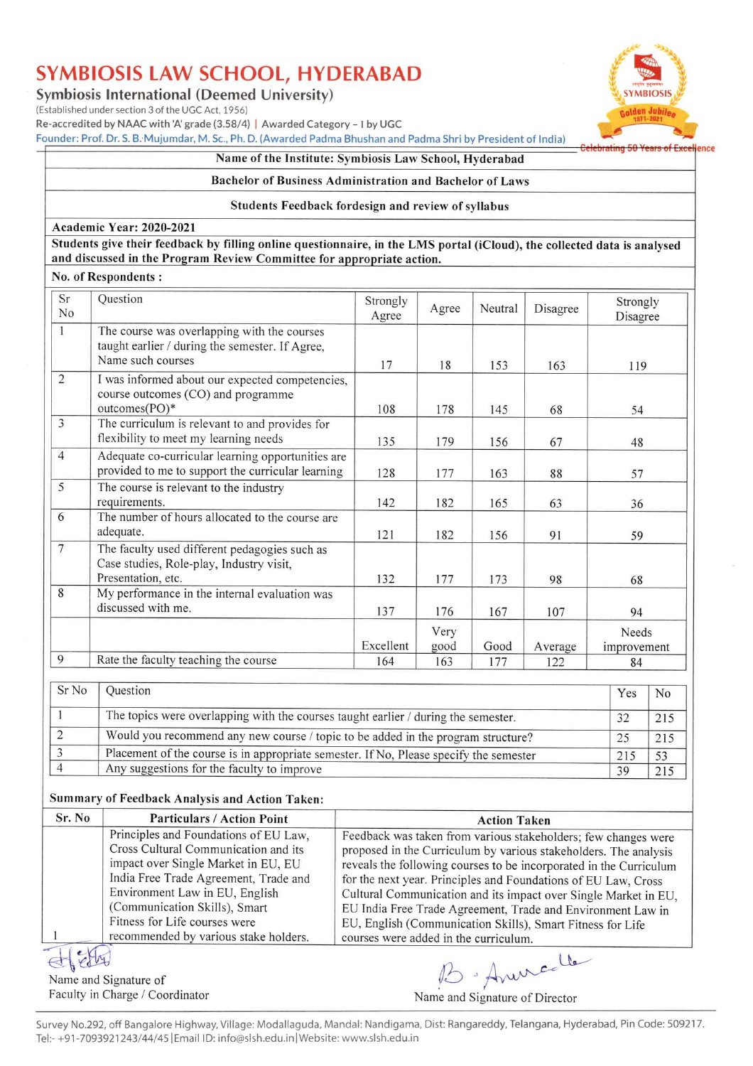Symbiosis International (Deemed University)

(Established under section 3 of the UGC Act, 1956)

Re-accredited by NAAC with 'A' grade (3.58/4) | Awarded Category - I by UGC

Founder: Prof. Dr. S. B. Mujumdar, M. Sc., Ph. D. (Awarded Padma Bhushan and Padma Shri by President of India)

#### Name of the Institute: Symbiosis Law School, Hyderabad

#### Bachelor of Business Administration and Bachelor of Laws

#### Students Feedback fordesign and review of syllabus

#### Academic Year: 2020-2021

Students give their feedback by filling online questionnaire, in the LMS portal (iCloud), the collected data is analysed and discussed in the Program Review Committee for appropriate action.

#### No. of Respondents:

| Sr<br>No       | Question                                                                                                            | Strongly<br>Agree | Agree        | Neutral | Disagree | Strongly<br>Disagree |
|----------------|---------------------------------------------------------------------------------------------------------------------|-------------------|--------------|---------|----------|----------------------|
| $\mathbf{1}$   | The course was overlapping with the courses<br>taught earlier / during the semester. If Agree,<br>Name such courses | 17                | 18           | 153     | 163      | 119                  |
| $\overline{2}$ | I was informed about our expected competencies,<br>course outcomes (CO) and programme<br>outcomes(PO)*              | 108               | 178          | 145     | 68       | 54                   |
| 3              | The curriculum is relevant to and provides for<br>flexibility to meet my learning needs                             | 135               | 179          | 156     | 67       | 48                   |
| $\overline{4}$ | Adequate co-curricular learning opportunities are<br>provided to me to support the curricular learning              | 128               | 177          | 163     | 88       | 57                   |
| 5              | The course is relevant to the industry<br>requirements.                                                             | 142               | 182          | 165     | 63       | 36                   |
| 6              | The number of hours allocated to the course are<br>adequate.                                                        | 121               | 182          | 156     | 91       | 59                   |
| $\overline{7}$ | The faculty used different pedagogies such as<br>Case studies, Role-play, Industry visit,<br>Presentation, etc.     | 132               | 177          | 173     | 98       | 68                   |
| 8              | My performance in the internal evaluation was<br>discussed with me.                                                 | 137               | 176          | 167     | 107      | 94                   |
|                |                                                                                                                     | Excellent         | Very<br>good | Good    | Average  | Needs<br>improvement |
| 9              | Rate the faculty teaching the course                                                                                | 164               | 163          | 177     | 122      | 84                   |
| Sr No          | Question                                                                                                            |                   |              |         |          | Yes<br>No            |

| <b>SLIZO</b> | <b>Ouestion</b>                                                                        | Yes | N <sub>0</sub> |
|--------------|----------------------------------------------------------------------------------------|-----|----------------|
|              | The topics were overlapping with the courses taught earlier / during the semester.     |     | 215            |
|              | Would you recommend any new course / topic to be added in the program structure?       |     | 215            |
|              | Placement of the course is in appropriate semester. If No, Please specify the semester | 215 |                |
|              | Any suggestions for the faculty to improve                                             | 30  |                |

#### Summary of Feedback Analysis and Action Taken:

| Sr. No | <b>Particulars / Action Point</b>     | <b>Action Taken</b>                                                |
|--------|---------------------------------------|--------------------------------------------------------------------|
|        | Principles and Foundations of EU Law, | Feedback was taken from various stakeholders; few changes were     |
|        | Cross Cultural Communication and its  | proposed in the Curriculum by various stakeholders. The analysis   |
|        | impact over Single Market in EU, EU   | reveals the following courses to be incorporated in the Curriculum |
|        | India Free Trade Agreement, Trade and | for the next year. Principles and Foundations of EU Law, Cross     |
|        | Environment Law in EU, English        | Cultural Communication and its impact over Single Market in EU,    |
|        | (Communication Skills), Smart         | EU India Free Trade Agreement, Trade and Environment Law in        |
|        | Fitness for Life courses were         | EU, English (Communication Skills), Smart Fitness for Life         |
|        | recommended by various stake holders. | courses were added in the curriculum.                              |
|        |                                       |                                                                    |

 $\mu$ Name and Signature of Faculty in Charge / Coordinator

15 Aninco



ellence

Calahrating 50 Vasse

Name and Signature of Director

Survey No.292, off Bangalore Highway, Village: Modallaguda, Mandal: Nandigama, Dist: Rangareddy, Telangana, Hyderabad, Pin Code: 509217. Tel:- +91-7093921243/44/45 | Email ID: info@slsh.edu.in | Website: www.slsh.edu.in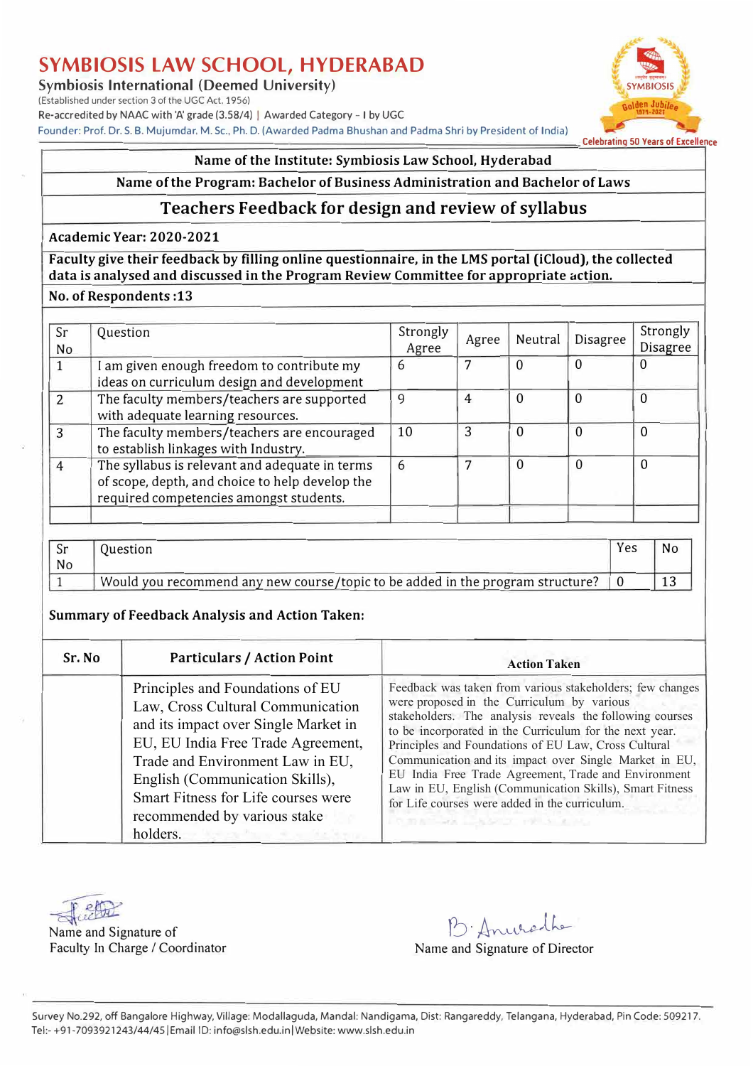**Symbiosis International (Deemed University)** 

(Established under section 3 of the UGC Act, 1956) Re-accredited by NAAC with 'A' grade (3.58/4) | Awarded Category - I by UGC Founder: Prof. Dr. S. B. Mujumdar. M.Sc., Ph.D. (Awarded Padma Bhushan and Padma Shri by President of India)



#### **Name of the Institute: Symbiosis Law School, Hyderabad**

#### **Name of the Program: Bachelor of Business Administration and Bachelor of Laws**

## **Teachers Feedback for design and review of syllabus**

#### **Academic Year: 2020-2021**

**Faculty give their feedback by filling online questionnaire, in the LMS portal (iCloud), the collected**  data is analysed and discussed in the Program Review Committee for appropriate action.

### **No.ofRespondents :13**

| Question                                                                                                                                     | Strongly<br>Agree | Agree | Neutral     | Disagree | Strongly<br><b>Disagree</b> |
|----------------------------------------------------------------------------------------------------------------------------------------------|-------------------|-------|-------------|----------|-----------------------------|
| I am given enough freedom to contribute my<br>ideas on curriculum design and development                                                     | 6                 | 7     | $\Omega$    | $\Omega$ | 0                           |
| The faculty members/teachers are supported<br>with adequate learning resources.                                                              | 9                 | 4     | 0           | $\theta$ | $\Omega$                    |
| The faculty members/teachers are encouraged<br>to establish linkages with Industry.                                                          | 10                | 3     | $\Omega$    | $\Omega$ | $\Omega$                    |
| The syllabus is relevant and adequate in terms<br>of scope, depth, and choice to help develop the<br>required competencies amongst students. | 6                 |       | $\mathbf 0$ | $\Omega$ | $\mathbf 0$                 |
|                                                                                                                                              |                   |       |             |          |                             |

| Sr<br>No | Juestion                                                                       | Yes | No  |
|----------|--------------------------------------------------------------------------------|-----|-----|
|          | Would you recommend any new course/topic to be added in the program structure? |     | ⊥ ບ |

#### **Summary of Feedback Analysis and Action Taken:**

| Sr. No | <b>Particulars / Action Point</b>                                                                                                                                                                                                                                                                             | <b>Action Taken</b>                                                                                                                                                                                                                                                                                                                                                                                                                                                                                                                                                       |
|--------|---------------------------------------------------------------------------------------------------------------------------------------------------------------------------------------------------------------------------------------------------------------------------------------------------------------|---------------------------------------------------------------------------------------------------------------------------------------------------------------------------------------------------------------------------------------------------------------------------------------------------------------------------------------------------------------------------------------------------------------------------------------------------------------------------------------------------------------------------------------------------------------------------|
|        | Principles and Foundations of EU<br>Law, Cross Cultural Communication<br>and its impact over Single Market in<br>EU, EU India Free Trade Agreement,<br>Trade and Environment Law in EU,<br>English (Communication Skills),<br>Smart Fitness for Life courses were<br>recommended by various stake<br>holders. | Feedback was taken from various stakeholders; few changes<br>were proposed in the Curriculum by various<br>stakeholders. The analysis reveals the following courses<br>to be incorporated in the Curriculum for the next year.<br>Principles and Foundations of EU Law, Cross Cultural<br>Communication and its impact over Single Market in EU,<br>EU India Free Trade Agreement, Trade and Environment<br>Law in EU, English (Communication Skills), Smart Fitness<br>for Life courses were added in the curriculum.<br>LES TO A TOWARD AND A RESIDENCE AND A RESIDENCE |

Name and Signature of **b.** Anused he

Faculty In Charge / Coordinator **Name and Signature of Director** Name and Signature of Director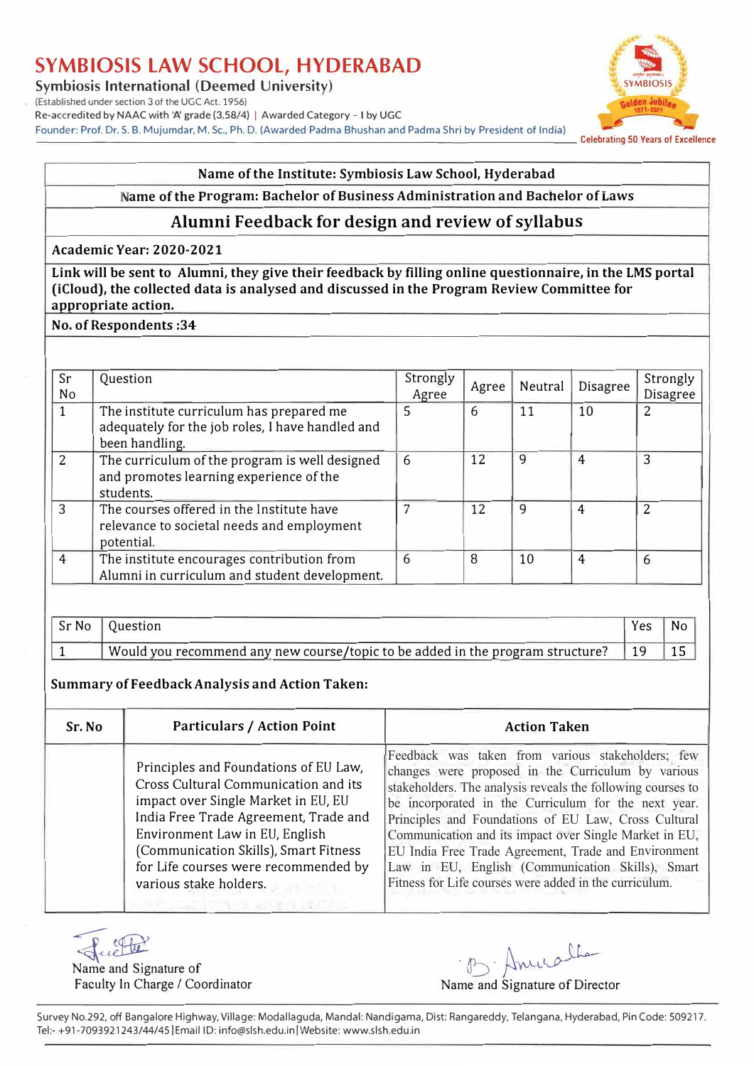**Symbiosis International (Deemed University)** *Symbiosis* **<b>Symbiosis Symbiosis** 

(Established under section 3 of the UGC Act. 1956) Re-accredited by NAAC with 'A' grade (3.58/4) | Awarded Category - I by UGC

Founder: Prof. Dr. S. B. Mujumdar, M. Sc., Ph. D. (Awarded Padma Bhushan and Padma Shri by President of India) celebrating 50 Years of Excellence



#### **Name of the Institute: Symbiosis Law School, Hyderabad**

#### **ame of the Program: Bachelor of Business Administration and Bachelor of Laws**

## **Alumni Feedback for design and review of syllabus**

**Academic Year: 2020-2021** 

**Link will be sent to Alumni, they give their feedback by filling online questionnaire, in the LMS portal (iCloud), the collected data is analysed and discussed in the Program Review Committee for**  appropriate action.

**No. of Respondents :34** 

| Sr<br>No | Question                                                                                                       | Strongly<br>Agree | Agree | Neutral | Disagree       | Strongly<br>Disagree |
|----------|----------------------------------------------------------------------------------------------------------------|-------------------|-------|---------|----------------|----------------------|
|          | The institute curriculum has prepared me<br>adequately for the job roles, I have handled and<br>been handling. | 5                 | 6     | 11      | 10             | 2                    |
| 2        | The curriculum of the program is well designed<br>and promotes learning experience of the<br>students.         | 6                 | 12    | 9       | 4              | 3                    |
| 3        | The courses offered in the Institute have<br>relevance to societal needs and employment<br>potential.          |                   | 12    | 9       | 4              | $\overline{2}$       |
| 4        | The institute encourages contribution from<br>Alumni in curriculum and student development.                    | 6                 | 8     | 10      | $\overline{4}$ | 6                    |

| Sr No | Ouestion                                                                       | Yes | No |
|-------|--------------------------------------------------------------------------------|-----|----|
|       | Would you recommend any new course/topic to be added in the program structure? |     | 15 |

### **Summary of Feedback Analysis and Action Taken:**

| Sr. No | Particulars / Action Point                                                                                                                                                                                                                                                                                 | <b>Action Taken</b>                                                                                                                                                                                                                                                                                                                                                                                                                                                                                                    |
|--------|------------------------------------------------------------------------------------------------------------------------------------------------------------------------------------------------------------------------------------------------------------------------------------------------------------|------------------------------------------------------------------------------------------------------------------------------------------------------------------------------------------------------------------------------------------------------------------------------------------------------------------------------------------------------------------------------------------------------------------------------------------------------------------------------------------------------------------------|
|        | Principles and Foundations of EU Law,<br>Cross Cultural Communication and its<br>impact over Single Market in EU, EU<br>India Free Trade Agreement, Trade and<br>Environment Law in EU, English<br>(Communication Skills), Smart Fitness<br>for Life courses were recommended by<br>various stake holders. | Feedback was taken from various stakeholders; few<br>changes were proposed in the Curriculum by various<br>stakeholders. The analysis reveals the following courses to<br>be incorporated in the Curriculum for the next year.<br>Principles and Foundations of EU Law, Cross Cultural<br>Communication and its impact over Single Market in EU,<br>EU India Free Trade Agreement, Trade and Environment<br>Law in EU, English (Communication Skills), Smart<br>Fitness for Life courses were added in the curriculum. |
|        |                                                                                                                                                                                                                                                                                                            |                                                                                                                                                                                                                                                                                                                                                                                                                                                                                                                        |

Juette

Name and Signature of Faculty In Charge/ Coordinator

· B. Annalte

Name and Signature of Director

Survey No.292, off Bangalore Highway, Village: Modallaguda, Mandal: Nandigama, Dist: Rangareddy, Telangana, Hyderabad, Pin Code: 509217. Tel:- +91-7093921243/44/45 | Email ID: info@slsh.edu.in | Website: www.slsh.edu.in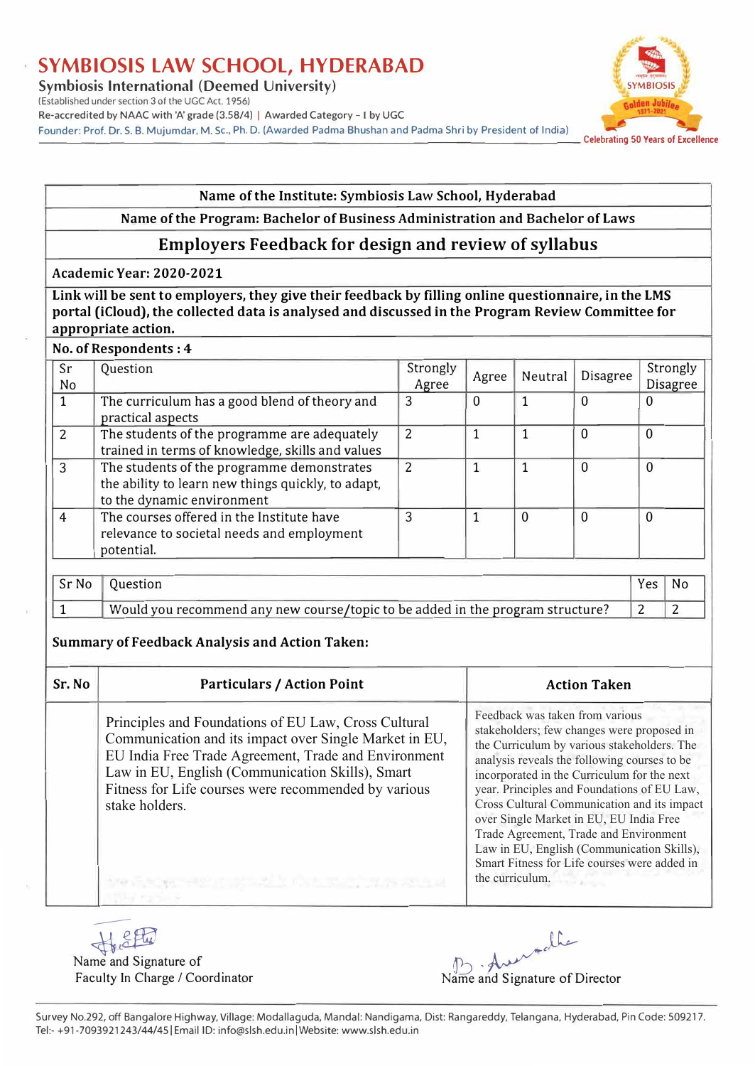Symbiosis International (Deemed University)

#### (Established under section 3 of the UGC Act. 1956)

Re-accredited by NAAC with 'A' grade (3.58/4) | Awarded Category - I by UGC

Founder: Prof. Dr. S. B. Mujumdar, M. Sc., Ph. D. (Awarded Padma Bhushan and Padma Shri by President of India) celebrating 50 Years of Excellence

# ..,..,,,\_, **SYMBIOSIS**

#### Name of the Institute: Symbiosis Law School, Hyderabad

#### Name of the Program: Bachelor of Business Administration and Bachelor of Laws

## **Employers Feedback for design and review of syllabus**

#### Academic Year: 2020-2021

Link will be sent to employers, they give their feedback by filling online questionnaire, in the LMS **portal (iCloud), the collected data is analysed and discussed in the Program Review Committee for appropriate action.** 

#### **No. of Respondents : 4**

| Sr<br>No       | Question                                                                                                                       | Strongly<br>Agree | Agree | Neutral  | Disagree | Strongly<br><b>Disagree</b> |
|----------------|--------------------------------------------------------------------------------------------------------------------------------|-------------------|-------|----------|----------|-----------------------------|
|                | The curriculum has a good blend of theory and<br>practical aspects                                                             | 3                 | 0     |          | $\Omega$ | 0                           |
| $\overline{2}$ | The students of the programme are adequately<br>trained in terms of knowledge, skills and values                               | 2                 |       |          | $\Omega$ | 0                           |
| 3              | The students of the programme demonstrates<br>the ability to learn new things quickly, to adapt,<br>to the dynamic environment | $\overline{2}$    |       |          | 0        | 0                           |
| 4              | The courses offered in the Institute have<br>relevance to societal needs and employment<br>potential.                          | 3                 |       | $\Omega$ | $\Omega$ | $\Omega$                    |

| Sr No | Ouestion                                                                       | Yes |  |
|-------|--------------------------------------------------------------------------------|-----|--|
|       | Would you recommend any new course/topic to be added in the program structure? |     |  |

### **Summary of Feedback Analysis and Action Taken:**

**Sr. No | Rapriculars / Action Point | Action Taken | Action Taken | Research | Research | Research | Research | Research | Research | Research | Research | Research | Research | Research | Research | Research | Research |** Principles and Foundations of EU Law, Cross Cultural Communication and its impact over Single Market in EU, EU India Free Trade Agreement, Trade and Environment Law in EU, English (Communication Skills), Smart Fitness for Life courses were recommended by various stake holders. Feedback was taken from various stakeholders; few changes were proposed in the Curriculum by various stakeholders. The analysis reveals the following courses to be incorporated in the Curriculum for the next year. Principles and Foundations of EU Law, Cross Cultural Communication and its impact over Single Market in EU, EU India Free Trade Agreement, Trade and Environment Law in EU, English (Communication Skills), Smart Fitness for Life courses were added in the curriculum.

Name and Signature of SEL

--

Faculty In Charge *I* Coordinator Name B Auendale<br>ame and Signature of Director

Survey No.292, off Bangalore Highway, Village: Modallaguda, Manda!: Nandigama, Dist: Rangareddy, Telangana, Hyderabad, Pin Code: S09217. Tel:- +91-7093921243/44/45 | Email ID: info@slsh.edu.in | Website: www.slsh.edu.in